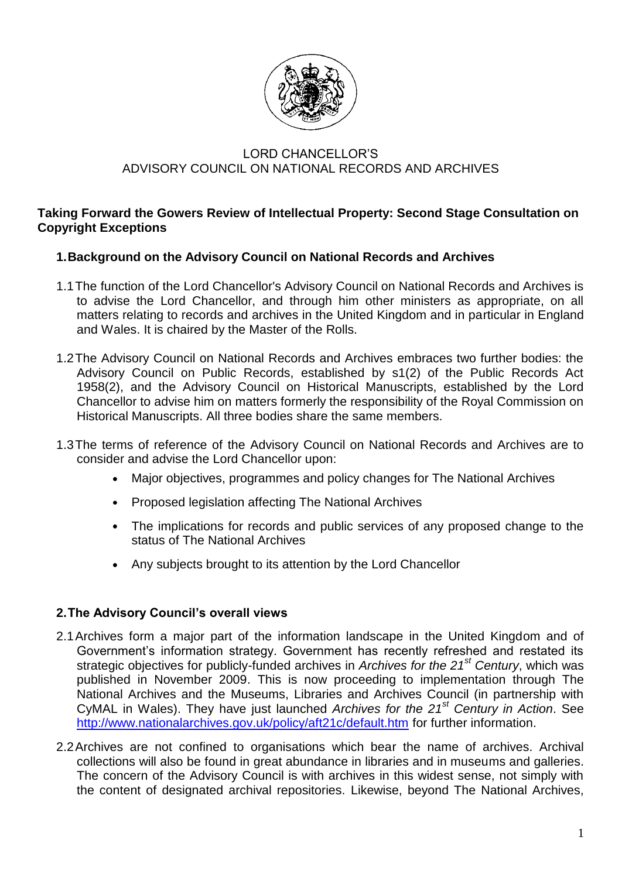

## LORD CHANCELLOR'S ADVISORY COUNCIL ON NATIONAL RECORDS AND ARCHIVES

### **Taking Forward the Gowers Review of Intellectual Property: Second Stage Consultation on Copyright Exceptions**

## **1.Background on the Advisory Council on National Records and Archives**

- 1.1The function of the Lord Chancellor's Advisory Council on National Records and Archives is to advise the Lord Chancellor, and through him other ministers as appropriate, on all matters relating to records and archives in the United Kingdom and in particular in England and Wales. It is chaired by the Master of the Rolls.
- 1.2The Advisory Council on National Records and Archives embraces two further bodies: the Advisory Council on Public Records, established by s1(2) of the Public Records Act 1958(2), and the Advisory Council on Historical Manuscripts, established by the Lord Chancellor to advise him on matters formerly the responsibility of the Royal Commission on Historical Manuscripts. All three bodies share the same members.
- 1.3The terms of reference of the Advisory Council on National Records and Archives are to consider and advise the Lord Chancellor upon:
	- Major objectives, programmes and policy changes for The National Archives
	- Proposed legislation affecting The National Archives
	- The implications for records and public services of any proposed change to the status of The National Archives
	- Any subjects brought to its attention by the Lord Chancellor

# **2.The Advisory Council's overall views**

- 2.1Archives form a major part of the information landscape in the United Kingdom and of Government's information strategy. Government has recently refreshed and restated its strategic objectives for publicly-funded archives in *Archives for the 21st Century*, which was published in November 2009. This is now proceeding to implementation through The National Archives and the Museums, Libraries and Archives Council (in partnership with CyMAL in Wales). They have just launched *Archives for the 21st Century in Action*. See <http://www.nationalarchives.gov.uk/policy/aft21c/default.htm> for further information.
- 2.2Archives are not confined to organisations which bear the name of archives. Archival collections will also be found in great abundance in libraries and in museums and galleries. The concern of the Advisory Council is with archives in this widest sense, not simply with the content of designated archival repositories. Likewise, beyond The National Archives,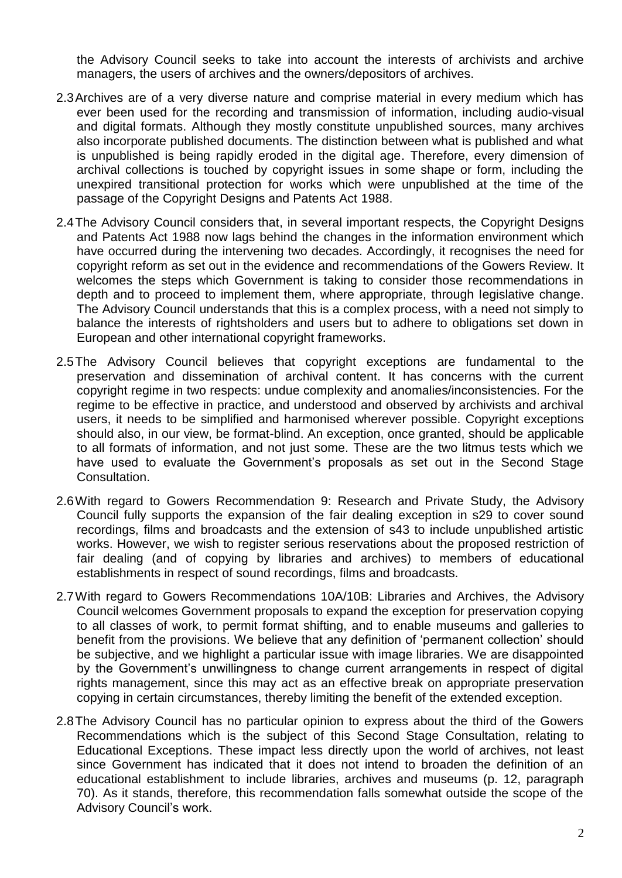the Advisory Council seeks to take into account the interests of archivists and archive managers, the users of archives and the owners/depositors of archives.

- 2.3Archives are of a very diverse nature and comprise material in every medium which has ever been used for the recording and transmission of information, including audio-visual and digital formats. Although they mostly constitute unpublished sources, many archives also incorporate published documents. The distinction between what is published and what is unpublished is being rapidly eroded in the digital age. Therefore, every dimension of archival collections is touched by copyright issues in some shape or form, including the unexpired transitional protection for works which were unpublished at the time of the passage of the Copyright Designs and Patents Act 1988.
- 2.4The Advisory Council considers that, in several important respects, the Copyright Designs and Patents Act 1988 now lags behind the changes in the information environment which have occurred during the intervening two decades. Accordingly, it recognises the need for copyright reform as set out in the evidence and recommendations of the Gowers Review. It welcomes the steps which Government is taking to consider those recommendations in depth and to proceed to implement them, where appropriate, through legislative change. The Advisory Council understands that this is a complex process, with a need not simply to balance the interests of rightsholders and users but to adhere to obligations set down in European and other international copyright frameworks.
- 2.5The Advisory Council believes that copyright exceptions are fundamental to the preservation and dissemination of archival content. It has concerns with the current copyright regime in two respects: undue complexity and anomalies/inconsistencies. For the regime to be effective in practice, and understood and observed by archivists and archival users, it needs to be simplified and harmonised wherever possible. Copyright exceptions should also, in our view, be format-blind. An exception, once granted, should be applicable to all formats of information, and not just some. These are the two litmus tests which we have used to evaluate the Government's proposals as set out in the Second Stage Consultation.
- 2.6With regard to Gowers Recommendation 9: Research and Private Study, the Advisory Council fully supports the expansion of the fair dealing exception in s29 to cover sound recordings, films and broadcasts and the extension of s43 to include unpublished artistic works. However, we wish to register serious reservations about the proposed restriction of fair dealing (and of copying by libraries and archives) to members of educational establishments in respect of sound recordings, films and broadcasts.
- 2.7With regard to Gowers Recommendations 10A/10B: Libraries and Archives, the Advisory Council welcomes Government proposals to expand the exception for preservation copying to all classes of work, to permit format shifting, and to enable museums and galleries to benefit from the provisions. We believe that any definition of 'permanent collection' should be subjective, and we highlight a particular issue with image libraries. We are disappointed by the Government's unwillingness to change current arrangements in respect of digital rights management, since this may act as an effective break on appropriate preservation copying in certain circumstances, thereby limiting the benefit of the extended exception.
- 2.8The Advisory Council has no particular opinion to express about the third of the Gowers Recommendations which is the subject of this Second Stage Consultation, relating to Educational Exceptions. These impact less directly upon the world of archives, not least since Government has indicated that it does not intend to broaden the definition of an educational establishment to include libraries, archives and museums (p. 12, paragraph 70). As it stands, therefore, this recommendation falls somewhat outside the scope of the Advisory Council's work.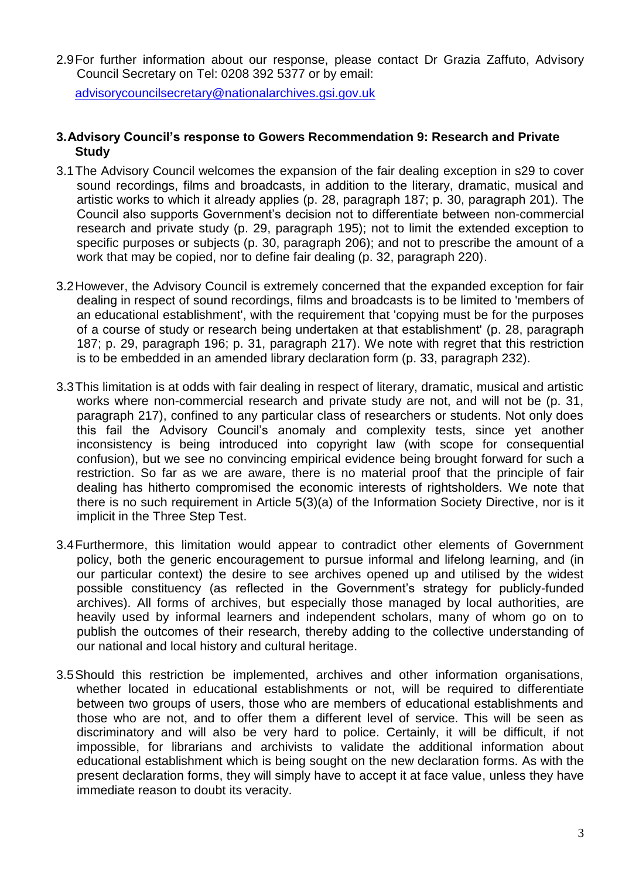2.9For further information about our response, please contact Dr Grazia Zaffuto, Advisory Council Secretary on Tel: 0208 392 5377 or by email:

[advisorycouncilsecretary@nationalarchives.gsi.gov.uk](mailto:advisorycouncilsecretary@nationalarchives.gsi.gov.uk)

### **3.Advisory Council's response to Gowers Recommendation 9: Research and Private Study**

- 3.1The Advisory Council welcomes the expansion of the fair dealing exception in s29 to cover sound recordings, films and broadcasts, in addition to the literary, dramatic, musical and artistic works to which it already applies (p. 28, paragraph 187; p. 30, paragraph 201). The Council also supports Government's decision not to differentiate between non-commercial research and private study (p. 29, paragraph 195); not to limit the extended exception to specific purposes or subjects (p. 30, paragraph 206); and not to prescribe the amount of a work that may be copied, nor to define fair dealing (p. 32, paragraph 220).
- 3.2However, the Advisory Council is extremely concerned that the expanded exception for fair dealing in respect of sound recordings, films and broadcasts is to be limited to 'members of an educational establishment', with the requirement that 'copying must be for the purposes of a course of study or research being undertaken at that establishment' (p. 28, paragraph 187; p. 29, paragraph 196; p. 31, paragraph 217). We note with regret that this restriction is to be embedded in an amended library declaration form (p. 33, paragraph 232).
- 3.3This limitation is at odds with fair dealing in respect of literary, dramatic, musical and artistic works where non-commercial research and private study are not, and will not be (p. 31, paragraph 217), confined to any particular class of researchers or students. Not only does this fail the Advisory Council's anomaly and complexity tests, since yet another inconsistency is being introduced into copyright law (with scope for consequential confusion), but we see no convincing empirical evidence being brought forward for such a restriction. So far as we are aware, there is no material proof that the principle of fair dealing has hitherto compromised the economic interests of rightsholders. We note that there is no such requirement in Article 5(3)(a) of the Information Society Directive, nor is it implicit in the Three Step Test.
- 3.4Furthermore, this limitation would appear to contradict other elements of Government policy, both the generic encouragement to pursue informal and lifelong learning, and (in our particular context) the desire to see archives opened up and utilised by the widest possible constituency (as reflected in the Government's strategy for publicly-funded archives). All forms of archives, but especially those managed by local authorities, are heavily used by informal learners and independent scholars, many of whom go on to publish the outcomes of their research, thereby adding to the collective understanding of our national and local history and cultural heritage.
- 3.5Should this restriction be implemented, archives and other information organisations, whether located in educational establishments or not, will be required to differentiate between two groups of users, those who are members of educational establishments and those who are not, and to offer them a different level of service. This will be seen as discriminatory and will also be very hard to police. Certainly, it will be difficult, if not impossible, for librarians and archivists to validate the additional information about educational establishment which is being sought on the new declaration forms. As with the present declaration forms, they will simply have to accept it at face value, unless they have immediate reason to doubt its veracity.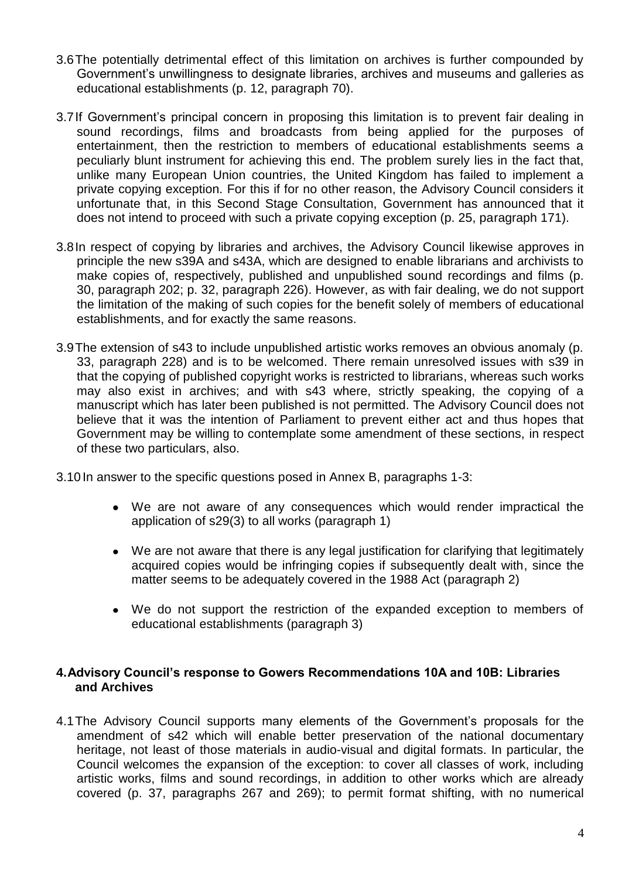- 3.6The potentially detrimental effect of this limitation on archives is further compounded by Government's unwillingness to designate libraries, archives and museums and galleries as educational establishments (p. 12, paragraph 70).
- 3.7If Government's principal concern in proposing this limitation is to prevent fair dealing in sound recordings, films and broadcasts from being applied for the purposes of entertainment, then the restriction to members of educational establishments seems a peculiarly blunt instrument for achieving this end. The problem surely lies in the fact that, unlike many European Union countries, the United Kingdom has failed to implement a private copying exception. For this if for no other reason, the Advisory Council considers it unfortunate that, in this Second Stage Consultation, Government has announced that it does not intend to proceed with such a private copying exception (p. 25, paragraph 171).
- 3.8In respect of copying by libraries and archives, the Advisory Council likewise approves in principle the new s39A and s43A, which are designed to enable librarians and archivists to make copies of, respectively, published and unpublished sound recordings and films (p. 30, paragraph 202; p. 32, paragraph 226). However, as with fair dealing, we do not support the limitation of the making of such copies for the benefit solely of members of educational establishments, and for exactly the same reasons.
- 3.9The extension of s43 to include unpublished artistic works removes an obvious anomaly (p. 33, paragraph 228) and is to be welcomed. There remain unresolved issues with s39 in that the copying of published copyright works is restricted to librarians, whereas such works may also exist in archives; and with s43 where, strictly speaking, the copying of a manuscript which has later been published is not permitted. The Advisory Council does not believe that it was the intention of Parliament to prevent either act and thus hopes that Government may be willing to contemplate some amendment of these sections, in respect of these two particulars, also.
- 3.10 In answer to the specific questions posed in Annex B, paragraphs 1-3:
	- We are not aware of any consequences which would render impractical the application of s29(3) to all works (paragraph 1)
	- We are not aware that there is any legal justification for clarifying that legitimately acquired copies would be infringing copies if subsequently dealt with, since the matter seems to be adequately covered in the 1988 Act (paragraph 2)
	- We do not support the restriction of the expanded exception to members of educational establishments (paragraph 3)

#### **4.Advisory Council's response to Gowers Recommendations 10A and 10B: Libraries and Archives**

4.1The Advisory Council supports many elements of the Government's proposals for the amendment of s42 which will enable better preservation of the national documentary heritage, not least of those materials in audio-visual and digital formats. In particular, the Council welcomes the expansion of the exception: to cover all classes of work, including artistic works, films and sound recordings, in addition to other works which are already covered (p. 37, paragraphs 267 and 269); to permit format shifting, with no numerical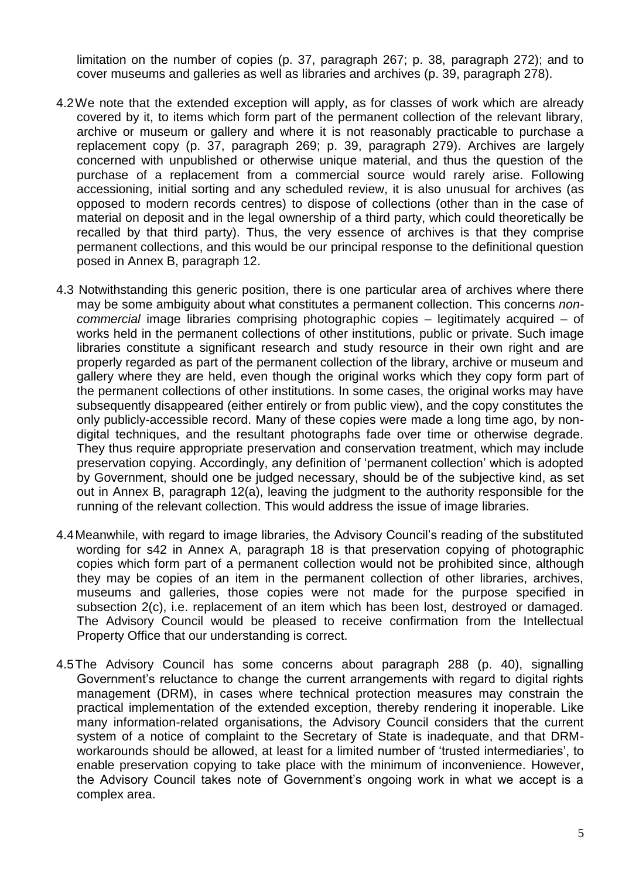limitation on the number of copies (p. 37, paragraph 267; p. 38, paragraph 272); and to cover museums and galleries as well as libraries and archives (p. 39, paragraph 278).

- 4.2We note that the extended exception will apply, as for classes of work which are already covered by it, to items which form part of the permanent collection of the relevant library, archive or museum or gallery and where it is not reasonably practicable to purchase a replacement copy (p. 37, paragraph 269; p. 39, paragraph 279). Archives are largely concerned with unpublished or otherwise unique material, and thus the question of the purchase of a replacement from a commercial source would rarely arise. Following accessioning, initial sorting and any scheduled review, it is also unusual for archives (as opposed to modern records centres) to dispose of collections (other than in the case of material on deposit and in the legal ownership of a third party, which could theoretically be recalled by that third party). Thus, the very essence of archives is that they comprise permanent collections, and this would be our principal response to the definitional question posed in Annex B, paragraph 12.
- 4.3 Notwithstanding this generic position, there is one particular area of archives where there may be some ambiguity about what constitutes a permanent collection. This concerns *noncommercial* image libraries comprising photographic copies – legitimately acquired – of works held in the permanent collections of other institutions, public or private. Such image libraries constitute a significant research and study resource in their own right and are properly regarded as part of the permanent collection of the library, archive or museum and gallery where they are held, even though the original works which they copy form part of the permanent collections of other institutions. In some cases, the original works may have subsequently disappeared (either entirely or from public view), and the copy constitutes the only publicly-accessible record. Many of these copies were made a long time ago, by nondigital techniques, and the resultant photographs fade over time or otherwise degrade. They thus require appropriate preservation and conservation treatment, which may include preservation copying. Accordingly, any definition of 'permanent collection' which is adopted by Government, should one be judged necessary, should be of the subjective kind, as set out in Annex B, paragraph 12(a), leaving the judgment to the authority responsible for the running of the relevant collection. This would address the issue of image libraries.
- 4.4Meanwhile, with regard to image libraries, the Advisory Council's reading of the substituted wording for s42 in Annex A, paragraph 18 is that preservation copying of photographic copies which form part of a permanent collection would not be prohibited since, although they may be copies of an item in the permanent collection of other libraries, archives, museums and galleries, those copies were not made for the purpose specified in subsection 2(c), i.e. replacement of an item which has been lost, destroyed or damaged. The Advisory Council would be pleased to receive confirmation from the Intellectual Property Office that our understanding is correct.
- 4.5The Advisory Council has some concerns about paragraph 288 (p. 40), signalling Government's reluctance to change the current arrangements with regard to digital rights management (DRM), in cases where technical protection measures may constrain the practical implementation of the extended exception, thereby rendering it inoperable. Like many information-related organisations, the Advisory Council considers that the current system of a notice of complaint to the Secretary of State is inadequate, and that DRMworkarounds should be allowed, at least for a limited number of 'trusted intermediaries', to enable preservation copying to take place with the minimum of inconvenience. However, the Advisory Council takes note of Government's ongoing work in what we accept is a complex area.